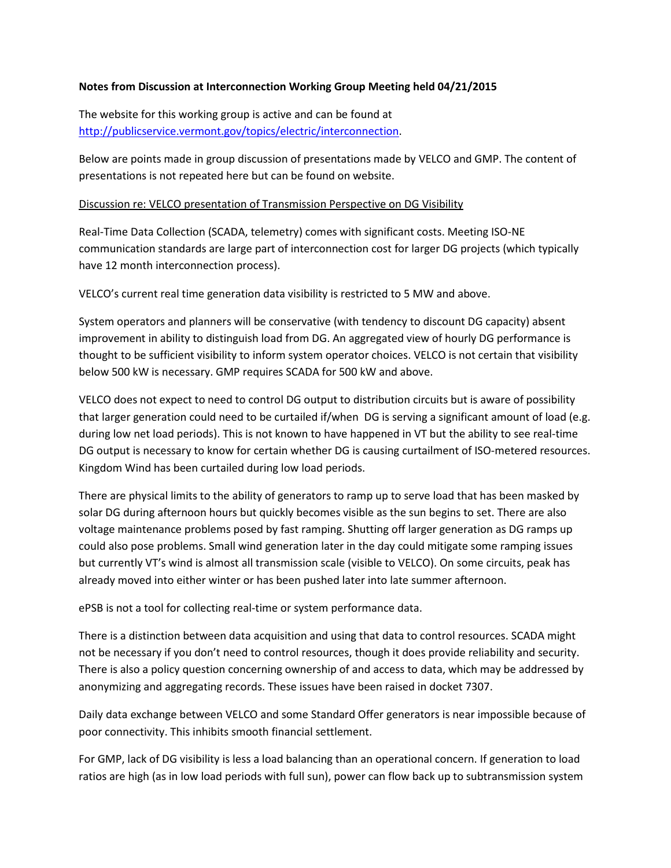## **Notes from Discussion at Interconnection Working Group Meeting held 04/21/2015**

The website for this working group is active and can be found at [http://publicservice.vermont.gov/topics/electric/interconnection.](http://publicservice.vermont.gov/topics/electric/interconnection)

Below are points made in group discussion of presentations made by VELCO and GMP. The content of presentations is not repeated here but can be found on website.

## Discussion re: VELCO presentation of Transmission Perspective on DG Visibility

Real-Time Data Collection (SCADA, telemetry) comes with significant costs. Meeting ISO-NE communication standards are large part of interconnection cost for larger DG projects (which typically have 12 month interconnection process).

VELCO's current real time generation data visibility is restricted to 5 MW and above.

System operators and planners will be conservative (with tendency to discount DG capacity) absent improvement in ability to distinguish load from DG. An aggregated view of hourly DG performance is thought to be sufficient visibility to inform system operator choices. VELCO is not certain that visibility below 500 kW is necessary. GMP requires SCADA for 500 kW and above.

VELCO does not expect to need to control DG output to distribution circuits but is aware of possibility that larger generation could need to be curtailed if/when DG is serving a significant amount of load (e.g. during low net load periods). This is not known to have happened in VT but the ability to see real-time DG output is necessary to know for certain whether DG is causing curtailment of ISO-metered resources. Kingdom Wind has been curtailed during low load periods.

There are physical limits to the ability of generators to ramp up to serve load that has been masked by solar DG during afternoon hours but quickly becomes visible as the sun begins to set. There are also voltage maintenance problems posed by fast ramping. Shutting off larger generation as DG ramps up could also pose problems. Small wind generation later in the day could mitigate some ramping issues but currently VT's wind is almost all transmission scale (visible to VELCO). On some circuits, peak has already moved into either winter or has been pushed later into late summer afternoon.

ePSB is not a tool for collecting real-time or system performance data.

There is a distinction between data acquisition and using that data to control resources. SCADA might not be necessary if you don't need to control resources, though it does provide reliability and security. There is also a policy question concerning ownership of and access to data, which may be addressed by anonymizing and aggregating records. These issues have been raised in docket 7307.

Daily data exchange between VELCO and some Standard Offer generators is near impossible because of poor connectivity. This inhibits smooth financial settlement.

For GMP, lack of DG visibility is less a load balancing than an operational concern. If generation to load ratios are high (as in low load periods with full sun), power can flow back up to subtransmission system